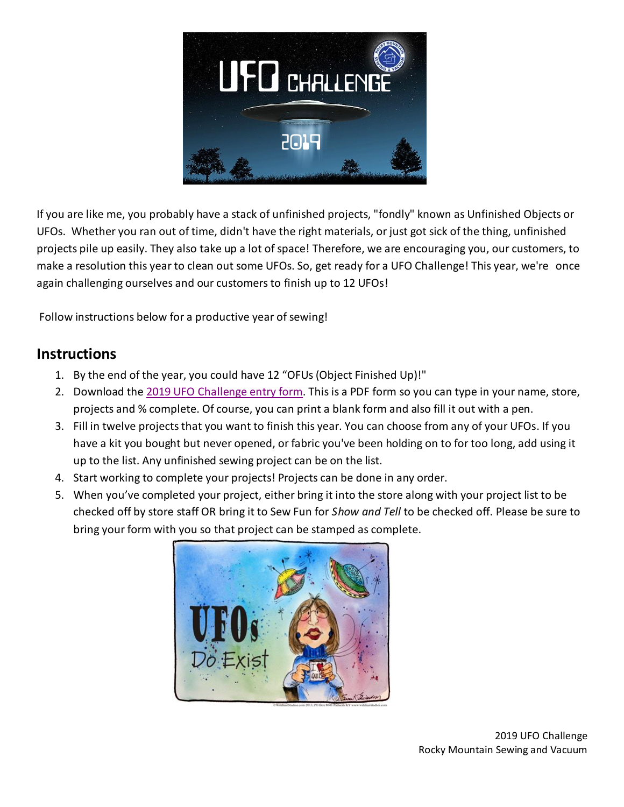

If you are like me, you probably have a stack of unfinished projects, "fondly" known as Unfinished Objects or UFOs. Whether you ran out of time, didn't have the right materials, or just got sick of the thing, unfinished projects pile up easily. They also take up a lot of space! Therefore, we are encouraging you, our customers, to make a resolution this year to clean out some UFOs. So, get ready for a UFO Challenge! This year, we're once again challenging ourselves and our customers to finish up to 12 UFOs!

Follow instructions below for a productive year of sewing!

#### **Instructions**

- 1. By the end of the year, you could have 12 "OFUs (Object Finished Up)!"
- 2. Download the [2019 UFO Challenge entry form.](https://www.rockymountainsewing.com/wp-content/uploads/2018/12/2019_Project_list_fillable.pdf) This is a PDF form so you can type in your name, store, projects and % complete. Of course, you can print a blank form and also fill it out with a pen.
- 3. Fill in twelve projects that you want to finish this year. You can choose from any of your UFOs. If you have a kit you bought but never opened, or fabric you've been holding on to for too long, add using it up to the list. Any unfinished sewing project can be on the list.
- 4. Start working to complete your projects! Projects can be done in any order.
- 5. When you've completed your project, either bring it into the store along with your project list to be checked off by store staff OR bring it to Sew Fun for *Show and Tell* to be checked off. Please be sure to bring your form with you so that project can be stamped as complete.

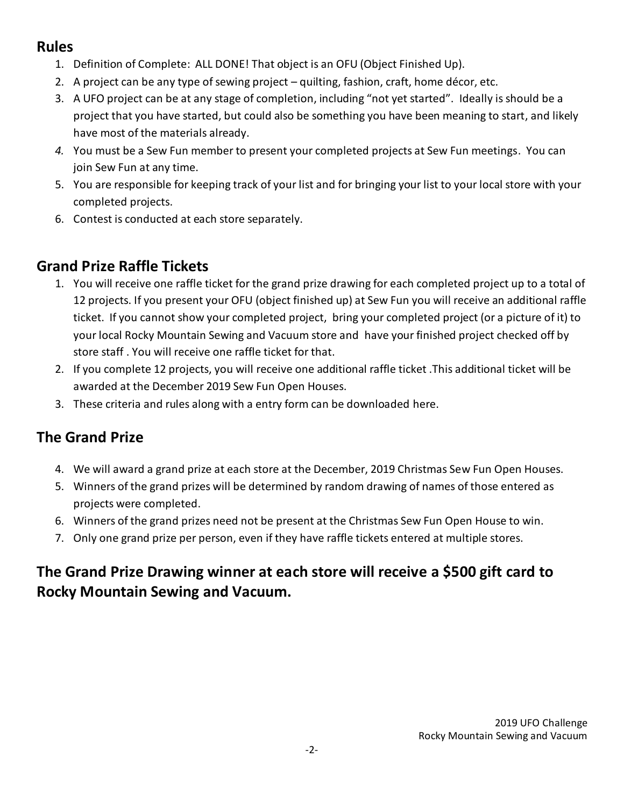### **Rules**

- 1. Definition of Complete: ALL DONE! That object is an OFU (Object Finished Up).
- 2. A project can be any type of sewing project quilting, fashion, craft, home décor, etc.
- 3. A UFO project can be at any stage of completion, including "not yet started". Ideally is should be a project that you have started, but could also be something you have been meaning to start, and likely have most of the materials already.
- *4.* You must be a Sew Fun member to present your completed projects at Sew Fun meetings. You can join Sew Fun at any time.
- 5. You are responsible for keeping track of your list and for bringing your list to your local store with your completed projects.
- 6. Contest is conducted at each store separately.

#### **Grand Prize Raffle Tickets**

- 1. You will receive one raffle ticket for the grand prize drawing for each completed project up to a total of 12 projects. If you present your OFU (object finished up) at Sew Fun you will receive an additional raffle ticket. If you cannot show your completed project, bring your completed project (or a picture of it) to your local Rocky Mountain Sewing and Vacuum store and have your finished project checked off by store staff . You will receive one raffle ticket for that.
- 2. If you complete 12 projects, you will receive one additional raffle ticket .This additional ticket will be awarded at the December 2019 Sew Fun Open Houses.
- 3. These criteria and rules along with a entry form can be downloade[d here.](https://www.rockymountainsewing.com/wp-content/uploads/2018/01/UFO-Contest-Rules-customers-1.pdf)

## **The Grand Prize**

- 4. We will award a grand prize at each store at the December, 2019 Christmas Sew Fun Open Houses.
- 5. Winners of the grand prizes will be determined by random drawing of names of those entered as projects were completed.
- 6. Winners of the grand prizes need not be present at the Christmas Sew Fun Open House to win.
- 7. Only one grand prize per person, even if they have raffle tickets entered at multiple stores.

# **The Grand Prize Drawing winner at each store will receive a \$500 gift card to Rocky Mountain Sewing and Vacuum.**